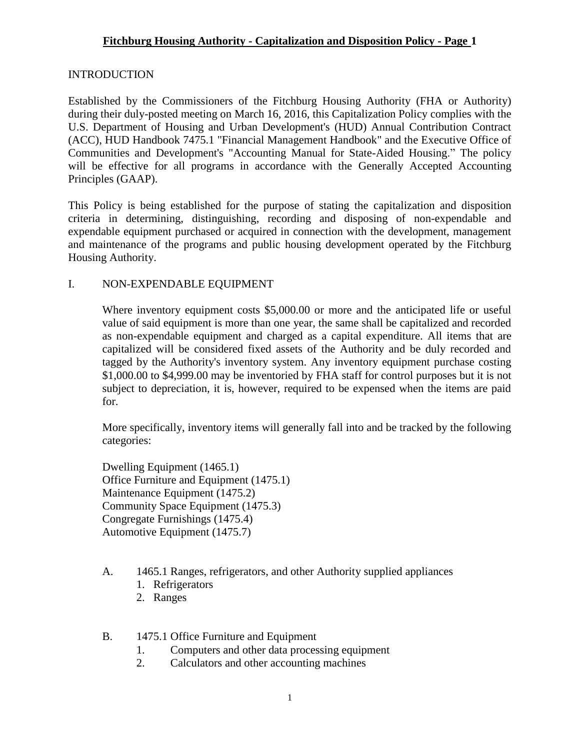# **Fitchburg Housing Authority - Capitalization and Disposition Policy - Page 1**

#### **INTRODUCTION**

Established by the Commissioners of the Fitchburg Housing Authority (FHA or Authority) during their duly-posted meeting on March 16, 2016, this Capitalization Policy complies with the U.S. Department of Housing and Urban Development's (HUD) Annual Contribution Contract (ACC), HUD Handbook 7475.1 "Financial Management Handbook" and the Executive Office of Communities and Development's "Accounting Manual for State-Aided Housing." The policy will be effective for all programs in accordance with the Generally Accepted Accounting Principles (GAAP).

This Policy is being established for the purpose of stating the capitalization and disposition criteria in determining, distinguishing, recording and disposing of non-expendable and expendable equipment purchased or acquired in connection with the development, management and maintenance of the programs and public housing development operated by the Fitchburg Housing Authority.

#### I. NON-EXPENDABLE EQUIPMENT

Where inventory equipment costs \$5,000.00 or more and the anticipated life or useful value of said equipment is more than one year, the same shall be capitalized and recorded as non-expendable equipment and charged as a capital expenditure. All items that are capitalized will be considered fixed assets of the Authority and be duly recorded and tagged by the Authority's inventory system. Any inventory equipment purchase costing \$1,000.00 to \$4,999.00 may be inventoried by FHA staff for control purposes but it is not subject to depreciation, it is, however, required to be expensed when the items are paid for.

More specifically, inventory items will generally fall into and be tracked by the following categories:

Dwelling Equipment (1465.1) Office Furniture and Equipment (1475.1) Maintenance Equipment (1475.2) Community Space Equipment (1475.3) Congregate Furnishings (1475.4) Automotive Equipment (1475.7)

- A. 1465.1 Ranges, refrigerators, and other Authority supplied appliances
	- 1. Refrigerators
	- 2. Ranges
- B. 1475.1 Office Furniture and Equipment
	- 1. Computers and other data processing equipment
	- 2. Calculators and other accounting machines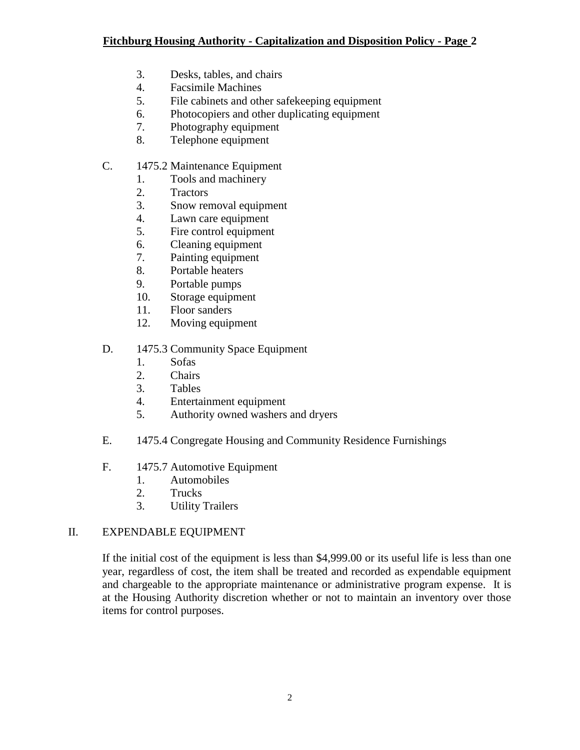- 3. Desks, tables, and chairs
- 4. Facsimile Machines
- 5. File cabinets and other safekeeping equipment
- 6. Photocopiers and other duplicating equipment
- 7. Photography equipment
- 8. Telephone equipment
- C. 1475.2 Maintenance Equipment
	- 1. Tools and machinery
	- 2. Tractors
	- 3. Snow removal equipment
	- 4. Lawn care equipment
	- 5. Fire control equipment
	- 6. Cleaning equipment
	- 7. Painting equipment
	- 8. Portable heaters
	- 9. Portable pumps
	- 10. Storage equipment
	- 11. Floor sanders
	- 12. Moving equipment

# D. 1475.3 Community Space Equipment

- 1. Sofas
- 2. Chairs
- 3. Tables
- 4. Entertainment equipment
- 5. Authority owned washers and dryers
- E. 1475.4 Congregate Housing and Community Residence Furnishings
- F. 1475.7 Automotive Equipment
	- 1. Automobiles
	- 2. Trucks
	- 3. Utility Trailers

# II. EXPENDABLE EQUIPMENT

If the initial cost of the equipment is less than \$4,999.00 or its useful life is less than one year, regardless of cost, the item shall be treated and recorded as expendable equipment and chargeable to the appropriate maintenance or administrative program expense. It is at the Housing Authority discretion whether or not to maintain an inventory over those items for control purposes.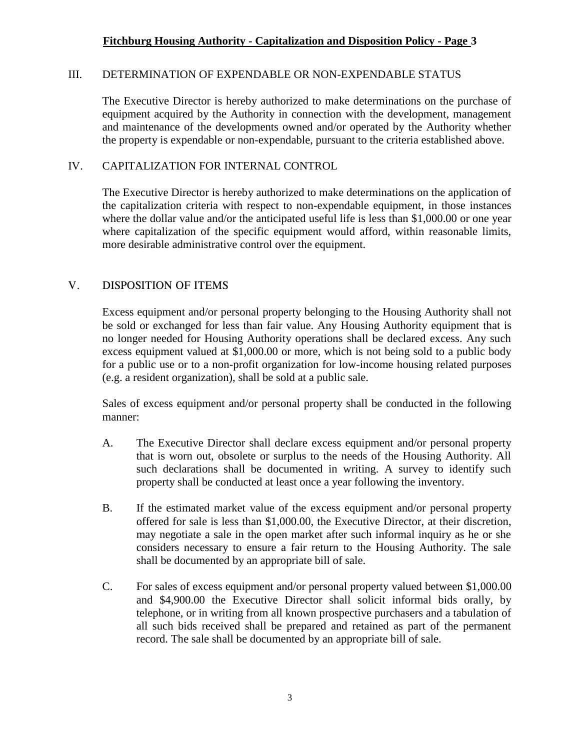#### **Fitchburg Housing Authority - Capitalization and Disposition Policy - Page 3**

#### III. DETERMINATION OF EXPENDABLE OR NON-EXPENDABLE STATUS

The Executive Director is hereby authorized to make determinations on the purchase of equipment acquired by the Authority in connection with the development, management and maintenance of the developments owned and/or operated by the Authority whether the property is expendable or non-expendable, pursuant to the criteria established above.

#### IV. CAPITALIZATION FOR INTERNAL CONTROL

The Executive Director is hereby authorized to make determinations on the application of the capitalization criteria with respect to non-expendable equipment, in those instances where the dollar value and/or the anticipated useful life is less than \$1,000.00 or one year where capitalization of the specific equipment would afford, within reasonable limits, more desirable administrative control over the equipment.

#### V. DISPOSITION OF ITEMS

Excess equipment and/or personal property belonging to the Housing Authority shall not be sold or exchanged for less than fair value. Any Housing Authority equipment that is no longer needed for Housing Authority operations shall be declared excess. Any such excess equipment valued at \$1,000.00 or more, which is not being sold to a public body for a public use or to a non-profit organization for low-income housing related purposes (e.g. a resident organization), shall be sold at a public sale.

Sales of excess equipment and/or personal property shall be conducted in the following manner:

- A. The Executive Director shall declare excess equipment and/or personal property that is worn out, obsolete or surplus to the needs of the Housing Authority. All such declarations shall be documented in writing. A survey to identify such property shall be conducted at least once a year following the inventory.
- B. If the estimated market value of the excess equipment and/or personal property offered for sale is less than \$1,000.00, the Executive Director, at their discretion, may negotiate a sale in the open market after such informal inquiry as he or she considers necessary to ensure a fair return to the Housing Authority. The sale shall be documented by an appropriate bill of sale.
- C. For sales of excess equipment and/or personal property valued between \$1,000.00 and \$4,900.00 the Executive Director shall solicit informal bids orally, by telephone, or in writing from all known prospective purchasers and a tabulation of all such bids received shall be prepared and retained as part of the permanent record. The sale shall be documented by an appropriate bill of sale.